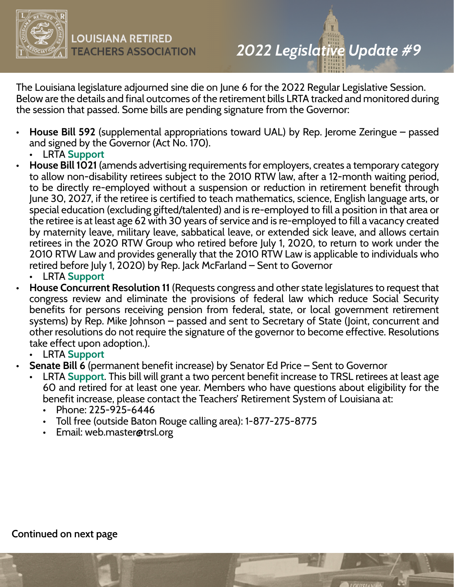

The Louisiana legislature adjourned sine die on June 6 for the 2022 Regular Legislative Session. Below are the details and final outcomes of the retirement bills LRTA tracked and monitored during the session that passed. Some bills are pending signature from the Governor:

- **House Bill 592** (supplemental appropriations toward UAL) by Rep. Jerome Zeringue passed and signed by the Governor (Act No. 170).
	- LRTA **Support**
- **House Bill 1021** (amends advertising requirements for employers, creates a temporary category to allow non-disability retirees subject to the 2010 RTW law, after a 12-month waiting period, to be directly re-employed without a suspension or reduction in retirement benefit through June 30, 2027, if the retiree is certified to teach mathematics, science, English language arts, or special education (excluding gifted/talented) and is re-employed to fill a position in that area or the retiree is at least age 62 with 30 years of service and is re-employed to fill a vacancy created by maternity leave, military leave, sabbatical leave, or extended sick leave, and allows certain retirees in the 2020 RTW Group who retired before July 1, 2020, to return to work under the 2010 RTW Law and provides generally that the 2010 RTW Law is applicable to individuals who retired before July 1, 2020) by Rep. Jack McFarland – Sent to Governor
	- LRTA **Support**
- **House Concurrent Resolution 11** (Requests congress and other state legislatures to request that congress review and eliminate the provisions of federal law which reduce Social Security benefits for persons receiving pension from federal, state, or local government retirement systems) by Rep. Mike Johnson – passed and sent to Secretary of State (Joint, concurrent and other resolutions do not require the signature of the governor to become effective. Resolutions take effect upon adoption.).
	- LRTA **Support**
- **Senate Bill 6** (permanent benefit increase) by Senator Ed Price Sent to Governor
	- LRTA **Support**. This bill will grant a two percent benefit increase to TRSL retirees at least age 60 and retired for at least one year. Members who have questions about eligibility for the benefit increase, please contact the Teachers' Retirement System of Louisiana at:
		- Phone: 225-925-6446
		- Toll free (outside Baton Rouge calling area): 1-877-275-8775
		- Email: web.master@trsl.org

## **Continued on next page**